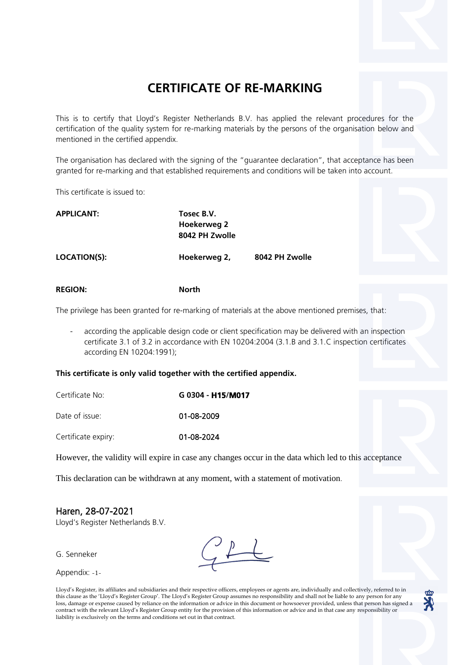## **CERTIFICATE OF RE-MARKING**

This is to certify that Lloyd's Register Netherlands B.V. has applied the relevant procedures for the certification of the quality system for re-marking materials by the persons of the organisation below and mentioned in the certified appendix.

The organisation has declared with the signing of the "guarantee declaration", that acceptance has been granted for re-marking and that established requirements and conditions will be taken into account.

This certificate is issued to:

| <b>APPLICANT:</b> | Tosec B.V.                           |  |
|-------------------|--------------------------------------|--|
|                   | <b>Hoekerweg 2</b><br>8042 PH Zwolle |  |
| $1.0001$ $1.001$  | .                                    |  |

**LOCATION(S): Hoekerweg 2, 8042 PH Zwolle**

**REGION: North**

The privilege has been granted for re-marking of materials at the above mentioned premises, that:

according the applicable design code or client specification may be delivered with an inspection certificate 3.1 of 3.2 in accordance with EN 10204:2004 (3.1.B and 3.1.C inspection certificates according EN 10204:1991);

**This certificate is only valid together with the certified appendix.**

| Certificate No: | G 0304 - H15/M017 |  |  |
|-----------------|-------------------|--|--|
| Date of issue:  | 01-08-2009        |  |  |

Certificate expiry: 01-08-2024

However, the validity will expire in case any changes occur in the data which led to this acceptance

This declaration can be withdrawn at any moment, with a statement of motivation.

## Haren, 28-07-2021

Lloyd's Register Netherlands B.V.

G. Senneker

Appendix: -1-

Lloyd's Register, its affiliates and subsidiaries and their respective officers, employees or agents are, individually and collectively, referred to in this clause as the 'Lloyd's Register Group'. The Lloyd's Register Group assumes no responsibility and shall not be liable to any person for any loss, damage or expense caused by reliance on the information or advice in this document or howsoever provided, unless that person has signed a contract with the relevant Lloyd's Register Group entity for the provision of this information or advice and in that case any responsibility or liability is exclusively on the terms and conditions set out in that contract.